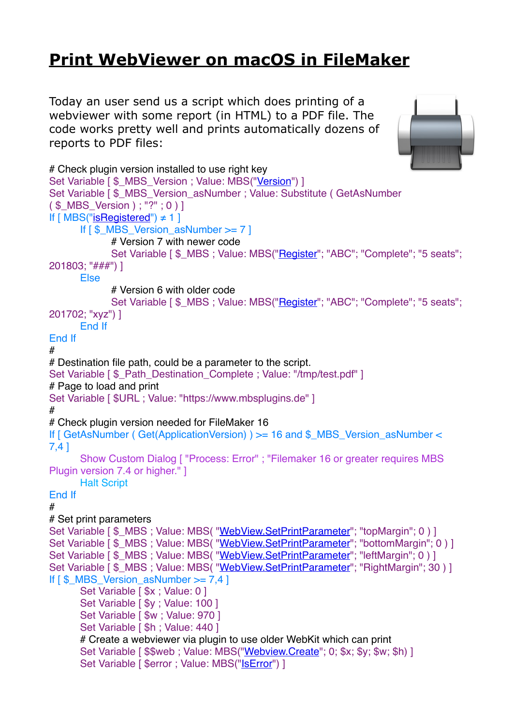## **[Print WebViewer on macOS in FileMaker](https://www.mbs-plugins.com/archive/2017-11-28/Print_WebViewer_on_macOS_in_Fi/monkeybreadsoftware_blog_filemaker)**

Today an user send us a script which does printing of a webviewer with some report (in HTML) to a PDF file. The code works pretty well and prints automatically dozens of reports to PDF files:



```
# Check plugin version installed to use right key
"Version") ]
Set Variable [ $ MBS Version_asNumber ; Value: Substitute ( GetAsNumber
( $_MBS_Version ) ; "?" ; 0 ) ]
If [MBS("iSRequired") \neq 1]If [ $_MBS_Version_asNumber >= 7 ]
           # Version 7 with newer code
           Set Variable [ \Lambda"Register"; "ABC"; "Complete"; "5 seats";
201803; "###") ]
     Else
           # Version 6 with older code
           "Register"; "ABC"; "Complete"; "5 seats";
201702; "xyz") ]
     End If
End If
#
# Destination file path, could be a parameter to the script.
Set Variable [ $ Path Destination Complete : Value: "/tmp/test.pdf" ]
# Page to load and print
Set Variable [ $URL ; Value: "https://www.mbsplugins.de" ]
#
# Check plugin version needed for FileMaker 16
If [ GetAsNumber ( Get(ApplicationVersion) ) > 16 and $_MBS_Version_asNumber <
7,4 ]
     Show Custom Dialog [ "Process: Error" ; "Filemaker 16 or greater requires MBS 
Plugin version 7.4 or higher." ]
     Halt Script
End If
#
# Set print parameters
WebView.SetPrintParameter"; "topMargin"; 0) ]
WebView.SetPrintParameter"; "bottomMargin"; 0 ) ]
WebView.SetPrintParameter"; "leftMargin"; 0 ) ]
WebView.SetPrintParameter"; "RightMargin"; 30 ) ]
If [ $ MBS Version_asNumber >= 7,4 ]
     Set Variable [ $x : Value: 0]Set Variable [ $y : Value: 100 ]
     Set Variable [ \text{\$w} ; Value: 970 ]
     Set Variable [ $h : Value: 440 ]
     # Create a webviewer via plugin to use older WebKit which can print
     "Webview.Create"; 0; $x; $y; $w; $h) ]
     "IsError") ]
```